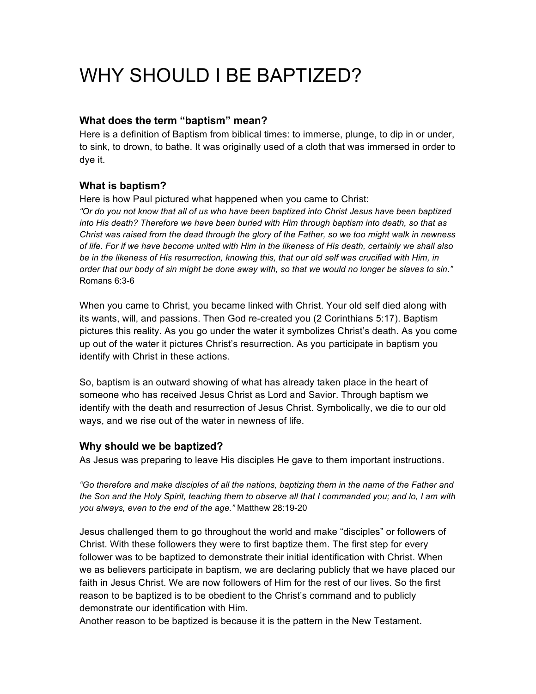# WHY SHOULD I BE BAPTIZED?

# **What does the term "baptism" mean?**

Here is a definition of Baptism from biblical times: to immerse, plunge, to dip in or under, to sink, to drown, to bathe. It was originally used of a cloth that was immersed in order to dye it.

# **What is baptism?**

Here is how Paul pictured what happened when you came to Christ:

*"Or do you not know that all of us who have been baptized into Christ Jesus have been baptized into His death? Therefore we have been buried with Him through baptism into death, so that as Christ was raised from the dead through the glory of the Father, so we too might walk in newness of life. For if we have become united with Him in the likeness of His death, certainly we shall also*  be in the likeness of His resurrection, knowing this, that our old self was crucified with Him, in *order that our body of sin might be done away with, so that we would no longer be slaves to sin."*  Romans 6:3-6

When you came to Christ, you became linked with Christ. Your old self died along with its wants, will, and passions. Then God re-created you (2 Corinthians 5:17). Baptism pictures this reality. As you go under the water it symbolizes Christ's death. As you come up out of the water it pictures Christ's resurrection. As you participate in baptism you identify with Christ in these actions.

So, baptism is an outward showing of what has already taken place in the heart of someone who has received Jesus Christ as Lord and Savior. Through baptism we identify with the death and resurrection of Jesus Christ. Symbolically, we die to our old ways, and we rise out of the water in newness of life.

## **Why should we be baptized?**

As Jesus was preparing to leave His disciples He gave to them important instructions.

*"Go therefore and make disciples of all the nations, baptizing them in the name of the Father and the Son and the Holy Spirit, teaching them to observe all that I commanded you; and lo, I am with you always, even to the end of the age."* Matthew 28:19-20

Jesus challenged them to go throughout the world and make "disciples" or followers of Christ. With these followers they were to first baptize them. The first step for every follower was to be baptized to demonstrate their initial identification with Christ. When we as believers participate in baptism, we are declaring publicly that we have placed our faith in Jesus Christ. We are now followers of Him for the rest of our lives. So the first reason to be baptized is to be obedient to the Christ's command and to publicly demonstrate our identification with Him.

Another reason to be baptized is because it is the pattern in the New Testament.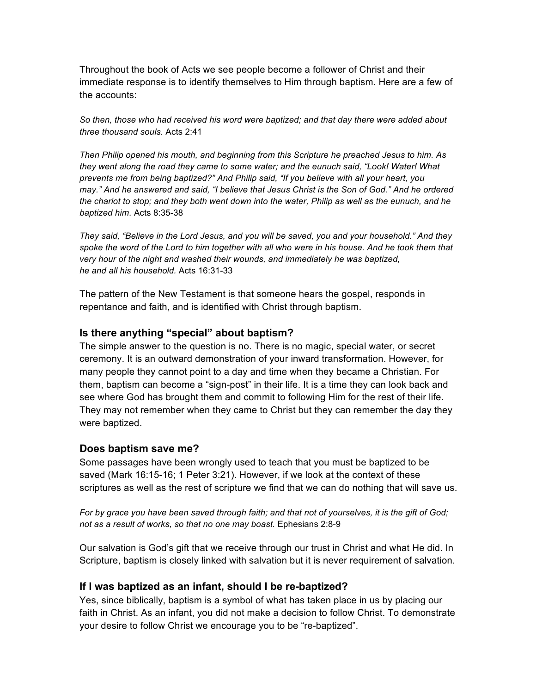Throughout the book of Acts we see people become a follower of Christ and their immediate response is to identify themselves to Him through baptism. Here are a few of the accounts:

*So then, those who had received his word were baptized; and that day there were added about three thousand souls.* Acts 2:41

*Then Philip opened his mouth, and beginning from this Scripture he preached Jesus to him. As they went along the road they came to some water; and the eunuch said, "Look! Water! What prevents me from being baptized?" And Philip said, "If you believe with all your heart, you may." And he answered and said, "I believe that Jesus Christ is the Son of God." And he ordered the chariot to stop; and they both went down into the water, Philip as well as the eunuch, and he baptized him.* Acts 8:35-38

*They said, "Believe in the Lord Jesus, and you will be saved, you and your household." And they spoke the word of the Lord to him together with all who were in his house. And he took them that very hour of the night and washed their wounds, and immediately he was baptized, he and all his household.* Acts 16:31-33

The pattern of the New Testament is that someone hears the gospel, responds in repentance and faith, and is identified with Christ through baptism.

# **Is there anything "special" about baptism?**

The simple answer to the question is no. There is no magic, special water, or secret ceremony. It is an outward demonstration of your inward transformation. However, for many people they cannot point to a day and time when they became a Christian. For them, baptism can become a "sign-post" in their life. It is a time they can look back and see where God has brought them and commit to following Him for the rest of their life. They may not remember when they came to Christ but they can remember the day they were baptized.

#### **Does baptism save me?**

Some passages have been wrongly used to teach that you must be baptized to be saved (Mark 16:15-16; 1 Peter 3:21). However, if we look at the context of these scriptures as well as the rest of scripture we find that we can do nothing that will save us.

*For by grace you have been saved through faith; and that not of yourselves, it is the gift of God; not as a result of works, so that no one may boast.* Ephesians 2:8-9

Our salvation is God's gift that we receive through our trust in Christ and what He did. In Scripture, baptism is closely linked with salvation but it is never requirement of salvation.

#### **If I was baptized as an infant, should I be re-baptized?**

Yes, since biblically, baptism is a symbol of what has taken place in us by placing our faith in Christ. As an infant, you did not make a decision to follow Christ. To demonstrate your desire to follow Christ we encourage you to be "re-baptized".